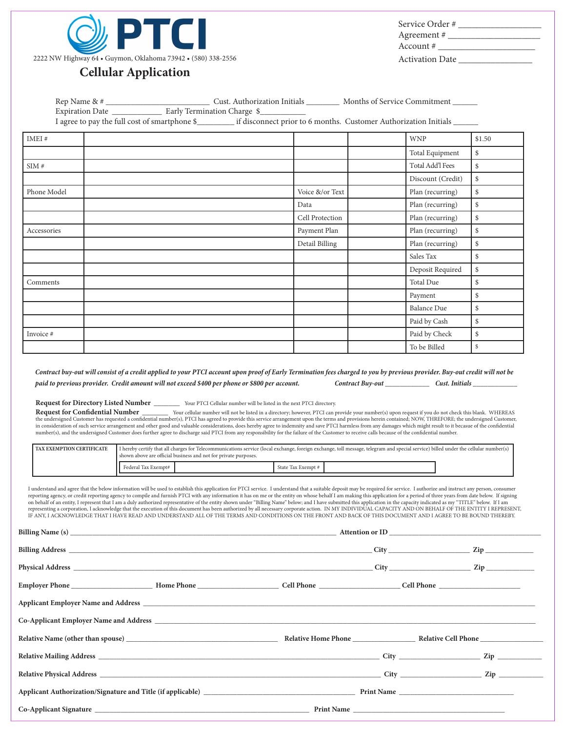

| Service Order #        |  |
|------------------------|--|
| Agreement #            |  |
| Account #              |  |
| <b>Activation Date</b> |  |

Balance Due  $\vert$  \$ Paid by Cash  $\frac{1}{s}$ 

To be Billed  $\frac{1}{s}$ 

## **Cellular Application**

| IMEI#       |      |                 | <b>WNP</b>        | \$1.50 |
|-------------|------|-----------------|-------------------|--------|
|             |      |                 | Total Equipment   | \$     |
| SIM#        |      |                 | Total Add'l Fees  | \$     |
|             |      |                 | Discount (Credit) | \$     |
| Phone Model |      | Voice &/or Text | Plan (recurring)  | \$     |
|             | Data |                 | Plan (recurring)  | \$     |
|             |      | Cell Protection | Plan (recurring)  | \$     |
| Accessories |      | Payment Plan    | Plan (recurring)  | \$     |
|             |      | Detail Billing  | Plan (recurring)  | \$     |
|             |      |                 | Sales Tax         | \$     |
|             |      |                 | Deposit Required  | \$     |
| Comments    |      |                 | Total Due         | \$     |
|             |      |                 | Payment           | \$     |

*Contract buy-out will consist of a credit applied to your PTCI account upon proof of Early Termination fees charged to you by previous provider. Buy-out credit will not be paid to previous provider. Credit amount will not exceed \$400 per phone or \$800 per account. Contract Buy-out \_\_\_\_\_\_\_\_\_\_\_\_ Cust. Initials \_\_\_\_\_\_\_\_\_\_\_\_* 

Invoice # Paid by Check  $\S$ 

**Request for Directory Listed Number \_\_\_\_\_\_\_** Your PTCI Cellular number will be listed in the next PTCI directory.

**Request for Confidential Number \_\_\_\_\_\_\_** Your cellular number will not be listed in a directory; however, PTCI can provide your number(s) upon request if you do not check this blank. WHEREAS the undersigned Customer has requested a confidential number(s), PTCI has agreed to provide this service arrangement upon the terms and provisions herein contained; NOW, THREFORE; the undersigned Customer, in consideration of such service arrangement and other good and valuable considerations, does hereby agree to indemnity and save PTCI harmless from any damages which might result to it becasue of the confidential number(s), and the undersigned Customer does further agree to discharge said PTCI from any responsibility for the failure of the Customer to receive calls because of the confidential number.

| <b>TAX EXEMPTION CERTIFICATE</b> | I hereby certify that all charges for Telecommunications service (local exchange, foreign exchange, toll message, telegram and special service) billed under the cellular number(s)<br>shown above are official business and not for private purposes. |  |                    |  |  |
|----------------------------------|--------------------------------------------------------------------------------------------------------------------------------------------------------------------------------------------------------------------------------------------------------|--|--------------------|--|--|
|                                  | Federal Tax Exempt#                                                                                                                                                                                                                                    |  | State Tax Exempt # |  |  |

I understand and agree that the below information will be used to establish this application for PTCI service. I understand that a suitable deposit may be required for service. I authorize and instruct any person, consumer reporting agency, or credit reporting agency to compile and furnish PTCI with any information it has on me or the entity on whose behalf I am making this application for a period of three years from date below. If signing<br> representing a corporation, I acknowledge that the execution of this document has been authorized by all necessary corporate action. IN MY INDIVIDUAL CAPACITY AND ON BEHALF OF THE ENTITY I REPRESENT, IF ANY, I ACKNOWLEDGE THAT I HAVE READ AND UNDERSTAND ALL OF THE TERMS AND CONDITIONS ON THE FRONT AND BACK OF THIS DOCUMENT AND I AGREE TO BE BOUND THEREBY.

| Relative Name (other than spouse) example and the Relative Home Phone Relative Name (other than spouse) |  |  |
|---------------------------------------------------------------------------------------------------------|--|--|
|                                                                                                         |  |  |
|                                                                                                         |  |  |
|                                                                                                         |  |  |
|                                                                                                         |  |  |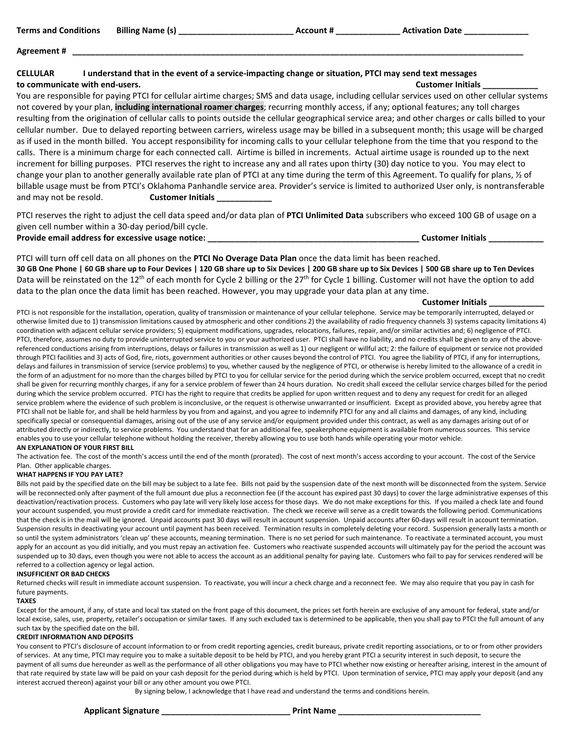| <b>Terms and Conditions</b><br><b>Billing Name (s)</b>                                                                                               | <b>Activation Date</b><br>Account # |
|------------------------------------------------------------------------------------------------------------------------------------------------------|-------------------------------------|
| Agreement#                                                                                                                                           |                                     |
| I understand that in the event of a service-impacting change or situation, PTCI may send text messages<br><b>CELLULAR</b>                            |                                     |
| to communicate with end-users.                                                                                                                       | <b>Customer Initials</b>            |
| You are responsible for paying PTCI for cellular airtime charges; SMS and data usage, including cellular services used on other cellular systems     |                                     |
| not covered by your plan, including international roamer charges; recurring monthly access, if any; optional features; any toll charges              |                                     |
| resulting from the origination of cellular calls to points outside the cellular geographical service area; and other charges or calls billed to your |                                     |
| cellular number. Due to delayed reporting between carriers, wireless usage may be billed in a subsequent month; this usage will be charged           |                                     |
| as if used in the month billed. You accept responsibility for incoming calls to your cellular telephone from the time that you respond to the        |                                     |
| calls. There is a minimum charge for each connected call. Airtime is billed in increments. Actual airtime usage is rounded up to the next            |                                     |

increment for billing purposes. PTCI reserves the right to increase any and all rates upon thirty (30) day notice to you. You may elect to change your plan to another generally available rate plan of PTCI at any time during the term of this Agreement. To qualify for plans, ½ of billable usage must be from PTCI's Oklahoma Panhandle service area. Provider's service is limited to authorized User only, is nontransferable and may not be resold. **Customer Initials** 

PTCI reserves the right to adjust the cell data speed and/or data plan of **PTCI Unlimited Data** subscribers who exceed 100 GB of usage on a given cell number within a 30-day period/bill cycle.

**Provide email address for excessive usage notice: \_\_\_\_\_\_\_\_\_\_\_\_\_\_\_\_\_\_\_\_\_\_\_\_\_\_\_\_\_\_\_\_\_\_\_\_\_\_\_\_\_\_\_\_\_\_ Customer Initials \_\_\_\_\_\_\_\_\_\_\_\_**

PTCI will turn off cell data on all phones on the **PTCI No Overage Data Plan** once the data limit has been reached. **30 GB One Phone | 60 GB share up to Four Devices | 120 GB share up to Six Devices | 200 GB share up to Six Devices | 500 GB share up to Ten Devices** Data will be reinstated on the 12<sup>th</sup> of each month for Cycle 2 billing or the 27<sup>th</sup> for Cycle 1 billing. Customer will not have the option to add data to the plan once the data limit has been reached. However, you may upgrade your data plan at any time.

### **Customer Initials \_\_\_\_\_\_\_\_\_\_\_\_**

PTCI is not responsible for the installation, operation, quality of transmission or maintenance of your cellular telephone. Service may be temporarily interrupted, delayed or otherwise limited due to 1) transmission limitations caused by atmospheric and other conditions 2) the availability of radio frequency channels 3) systems capacity limitations 4) coordination with adjacent cellular service providers; 5) equipment modifications, upgrades, relocations, failures, repair, and/or similar activities and; 6) negligence of PTCI. PTCI, therefore, assumes no duty to provide uninterrupted service to you or your authorized user. PTCI shall have no liability, and no credits shall be given to any of the abovereferenced conductions arising from interruptions, delays or failures in transmission as well as 1) our negligent or willful act; 2: the failure of equipment or service not provided through PTCI facilities and 3) acts of God, fire, riots, government authorities or other causes beyond the control of PTCI. You agree the liability of PTCI, if any for interruptions, delays and failures in transmission of service (service problems) to you, whether caused by the negligence of PTCI, or otherwise is hereby limited to the allowance of a credit in the form of an adjustment for no more than the charges billed by PTCI to you for cellular service for the period during which the service problem occurred, except that no credit shall be given for recurring monthly charges, if any for a service problem of fewer than 24 hours duration. No credit shall exceed the cellular service charges billed for the period during which the service problem occurred. PTCI has the right to require that credits be applied for upon written request and to deny any request for credit for an alleged service problem where the evidence of such problem is inconclusive, or the request is otherwise unwarranted or insufficient. Except as provided above, you hereby agree that PTCI shall not be liable for, and shall be held harmless by you from and against, and you agree to indemnify PTCI for any and all claims and damages, of any kind, including specifically special or consequential damages, arising out of the use of any service and/or equipment provided under this contract, as well as any damages arising out of or attributed directly or indirectly, to service problems. You understand that for an additional fee, speakerphone equipment is available from numerous sources. This service enables you to use your cellular telephone without holding the receiver, thereby allowing you to use both hands while operating your motor vehicle.

## **AN EXPLANATION OF YOUR FIRST BILL**

The activation fee. The cost of the month's access until the end of the month (prorated). The cost of next month's access according to your account. The cost of the Service Plan. Other applicable charges.

## **WHAT HAPPENS IF YOU PAY LATE?**

Bills not paid by the specified date on the bill may be subject to a late fee. Bills not paid by the suspension date of the next month will be disconnected from the system. Service will be reconnected only after payment of the full amount due plus a reconnection fee (if the account has expired past 30 days) to cover the large administrative expenses of this deactivation/reactivation process. Customers who pay late will very likely lose access for those days. We do not make exceptions for this. If you mailed a check late and found your account suspended, you must provide a credit card for immediate reactivation. The check we receive will serve as a credit towards the following period. Communications that the check is in the mail will be ignored. Unpaid accounts past 30 days will result in account suspension. Unpaid accounts after 60-days will result in account termination. Suspension results in deactivating your account until payment has been received. Termination results in completely deleting your record. Suspension generally lasts a month or so until the system administrators 'clean up' these accounts, meaning termination. There is no set period for such maintenance. To reactivate a terminated account, you must apply for an account as you did initially, and you must repay an activation fee. Customers who reactivate suspended accounts will ultimately pay for the period the account was suspended up to 30 days, even though you were not able to access the account as an additional penalty for paying late. Customers who fail to pay for services rendered will be referred to a collection agency or legal action.

### **INSUFFICIENT OR BAD CHECKS**

Returned checks will result in immediate account suspension. To reactivate, you will incur a check charge and a reconnect fee. We may also require that you pay in cash for future payments.

## **TAXES**

Except for the amount, if any, of state and local tax stated on the front page of this document, the prices set forth herein are exclusive of any amount for federal, state and/or local excise, sales, use, property, retailer's occupation or similar taxes. If any such excluded tax is determined to be applicable, then you shall pay to PTCI the full amount of any such tax by the specified date on the bill.

## **CREDIT INFORMATION AND DEPOSITS**

You consent to PTCI's disclosure of account information to or from credit reporting agencies, credit bureaus, private credit reporting associations, or to or from other providers of services. At any time, PTCI may require you to make a suitable deposit to be held by PTCI, and you hereby grant PTCI a security interest in such deposit, to secure the payment of all sums due hereunder as well as the performance of all other obligations you may have to PTCI whether now existing or hereafter arising, interest in the amount of that rate required by state law will be paid on your cash deposit for the period during which is held by PTCI. Upon termination of service, PTCI may apply your deposit (and any interest accrued thereon) against your bill or any other amount you owe PTCI.

By signing below, I acknowledge that I have read and understand the terms and conditions herein.

**Applicant Signature \_\_\_\_\_\_\_\_\_\_\_\_\_\_\_\_\_\_\_\_\_\_\_\_\_\_\_\_ Print Name \_\_\_\_\_\_\_\_\_\_\_\_\_\_\_\_\_\_\_\_\_\_\_\_\_\_\_\_\_\_\_**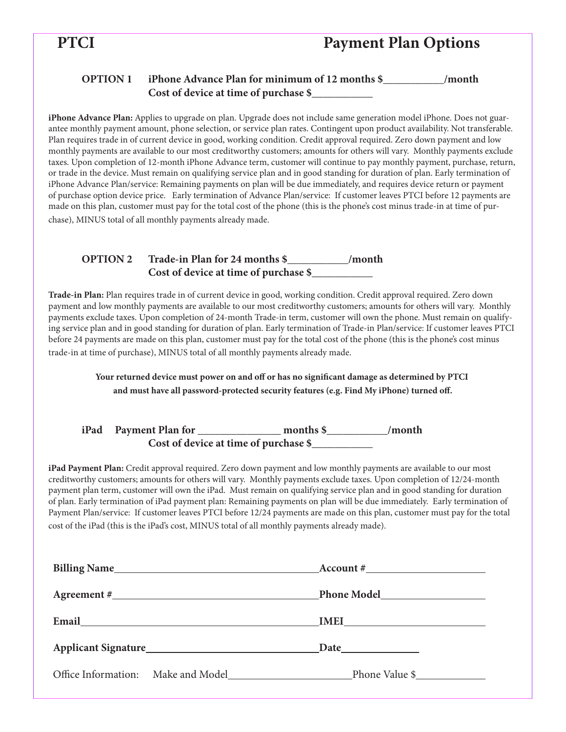# **PTCI Payment Plan Options**

## **OPTION 1 iPhone Advance Plan for minimum of 12 months \$\_\_\_\_\_\_\_\_\_\_\_/month Cost of device at time of purchase \$\_\_\_\_\_\_\_\_\_\_\_**

**iPhone Advance Plan:** Applies to upgrade on plan. Upgrade does not include same generation model iPhone. Does not guarantee monthly payment amount, phone selection, or service plan rates. Contingent upon product availability. Not transferable. Plan requires trade in of current device in good, working condition. Credit approval required. Zero down payment and low monthly payments are available to our most creditworthy customers; amounts for others will vary. Monthly payments exclude taxes. Upon completion of 12-month iPhone Advance term, customer will continue to pay monthly payment, purchase, return, or trade in the device. Must remain on qualifying service plan and in good standing for duration of plan. Early termination of iPhone Advance Plan/service: Remaining payments on plan will be due immediately, and requires device return or payment of purchase option device price. Early termination of Advance Plan/service: If customer leaves PTCI before 12 payments are made on this plan, customer must pay for the total cost of the phone (this is the phone's cost minus trade-in at time of purchase), MINUS total of all monthly payments already made.

## **OPTION 2 Trade-in Plan for 24 months \$\_\_\_\_\_\_\_\_\_\_\_/month Cost of device at time of purchase \$\_\_\_\_\_\_\_\_\_\_\_**

**Trade-in Plan:** Plan requires trade in of current device in good, working condition. Credit approval required. Zero down payment and low monthly payments are available to our most creditworthy customers; amounts for others will vary. Monthly payments exclude taxes. Upon completion of 24-month Trade-in term, customer will own the phone. Must remain on qualifying service plan and in good standing for duration of plan. Early termination of Trade-in Plan/service: If customer leaves PTCI before 24 payments are made on this plan, customer must pay for the total cost of the phone (this is the phone's cost minus trade-in at time of purchase), MINUS total of all monthly payments already made.

> **Your returned device must power on and off or has no significant damage as determined by PTCI and must have all password-protected security features (e.g. Find My iPhone) turned off.**

## **iPad Payment Plan for \_\_\_\_\_\_\_\_\_\_\_\_\_\_\_ months \$\_\_\_\_\_\_\_\_\_\_\_/month Cost of device at time of purchase \$\_\_\_\_\_\_\_\_\_\_\_**

**iPad Payment Plan:** Credit approval required. Zero down payment and low monthly payments are available to our most creditworthy customers; amounts for others will vary. Monthly payments exclude taxes. Upon completion of 12/24-month payment plan term, customer will own the iPad. Must remain on qualifying service plan and in good standing for duration of plan. Early termination of iPad payment plan: Remaining payments on plan will be due immediately. Early termination of Payment Plan/service: If customer leaves PTCI before 12/24 payments are made on this plan, customer must pay for the total cost of the iPad (this is the iPad's cost, MINUS total of all monthly payments already made).

|                                                 | $Account \#$                                      |
|-------------------------------------------------|---------------------------------------------------|
|                                                 |                                                   |
| Email <u>__________________________________</u> |                                                   |
|                                                 |                                                   |
|                                                 | Office Information: Make and Model Phone Value \$ |